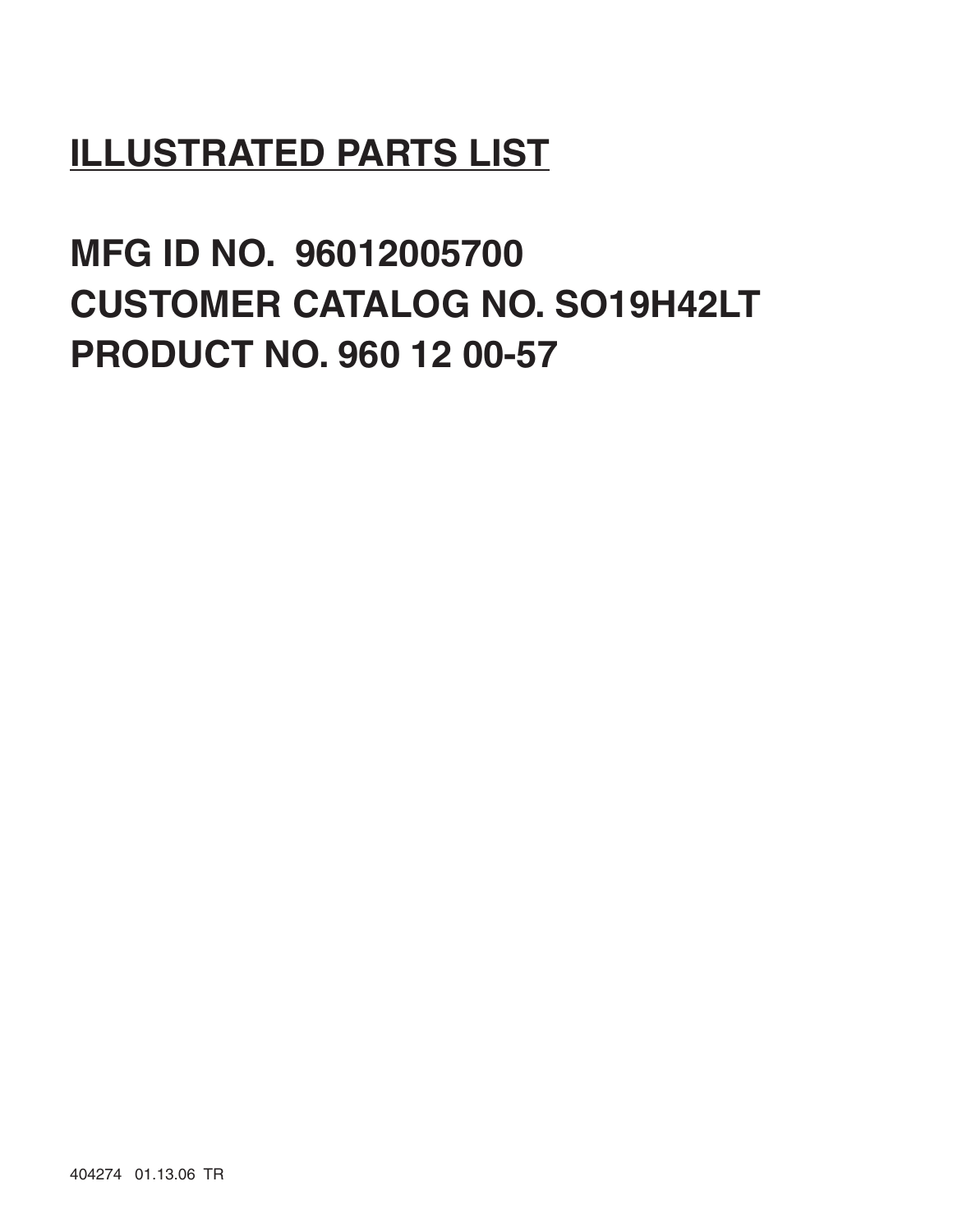# **ILLUSTRATED PARTS LIST**

**MFG ID NO. 96012005700 CUSTOMER CATALOG NO. SO19H42LT PRODUCT NO. 960 12 00-57**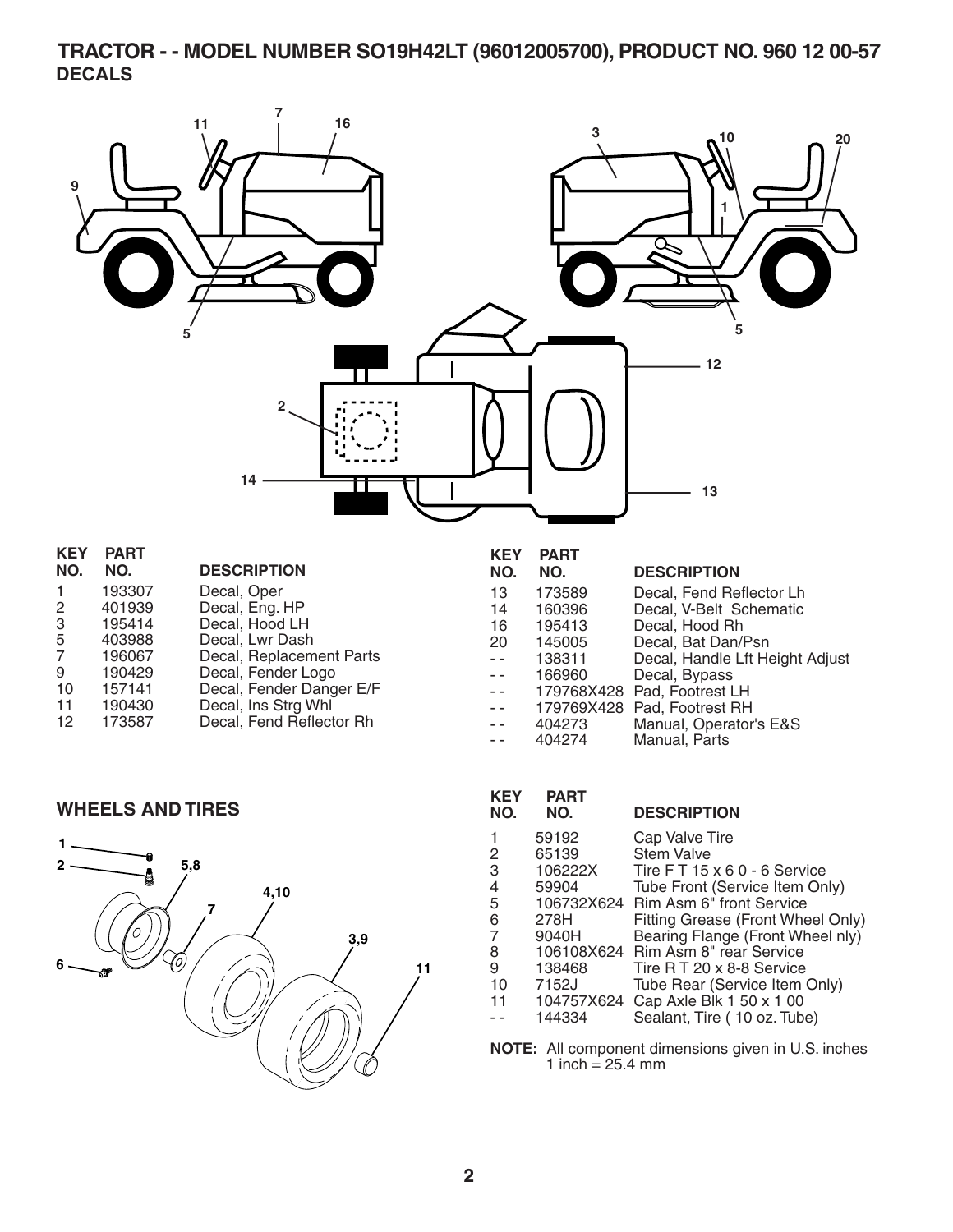#### **TRACTOR - - MODEL NUMBER SO19H42LT (96012005700), PRODUCT NO. 960 12 00-57 DECALS**



| 9      | 190429 | Decal, Fender Logo       |
|--------|--------|--------------------------|
| 10     | 157141 | Decal, Fender Danger E/F |
| 11     | 190430 | Decal, Ins Strg Whl      |
| $\sim$ | ------ | .                        |

| -12 | 173587 | Decal, Fend Reflector Rh |
|-----|--------|--------------------------|
|     |        |                          |

#### -- 166960 Decal, Bypass<br>-- 179768X428 Pad, Footrest L - - 179768X428 Pad, Footrest LH<br>- - 179769X428 Pad, Footrest RH - 179769X428 Pad, Footrest RH<br>- 404273 Manual, Operator 404273 Manual, Operator's E&S<br>404274 Manual, Parts - - 404274 Manual, Parts

#### **WHEELS AND TIRES**



| KEY<br>NO. | PART<br>NO. | <b>DESCRIPTION</b>                |
|------------|-------------|-----------------------------------|
|            | 59192       | Cap Valve Tire                    |
| 2          | 65139       | <b>Stem Valve</b>                 |
| 3          | 106222X     | Tire FT 15 x 6 0 - 6 Service      |
| 4          | 59904       | Tube Front (Service Item Only)    |
| 5          | 106732X624  | <b>Rim Asm 6" front Service</b>   |
| 6          | 278H        | Fitting Grease (Front Wheel Only) |
| 7          | 9040H       | Bearing Flange (Front Wheel nly)  |
| 8          | 106108X624  | Rim Asm 8" rear Service           |
| 9          | 138468      | Tire R T 20 x 8-8 Service         |
| 10         | 7152J       | Tube Rear (Service Item Only)     |
| 11         | 104757X624  | Cap Axle Blk 1 50 x 1 00          |
|            | 144334      | Sealant, Tire (10 oz. Tube)       |
|            |             |                                   |

**NOTE:** All component dimensions given in U.S. inches 1 inch =  $25.4 \, \text{mm}$ 

#### **2**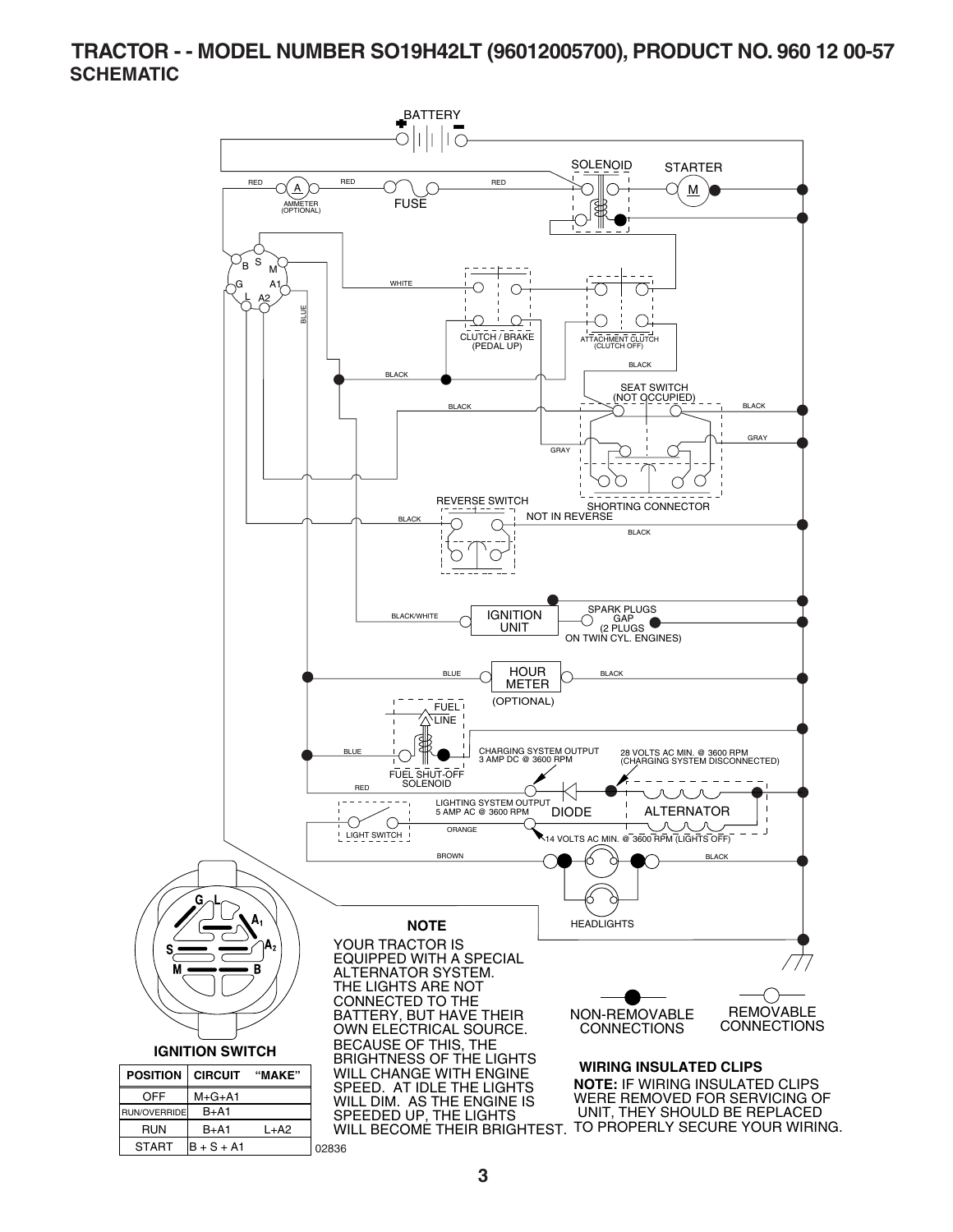#### **TRACTOR - - MODEL NUMBER SO19H42LT (96012005700), PRODUCT NO. 960 12 00-57 SCHEMATIC**

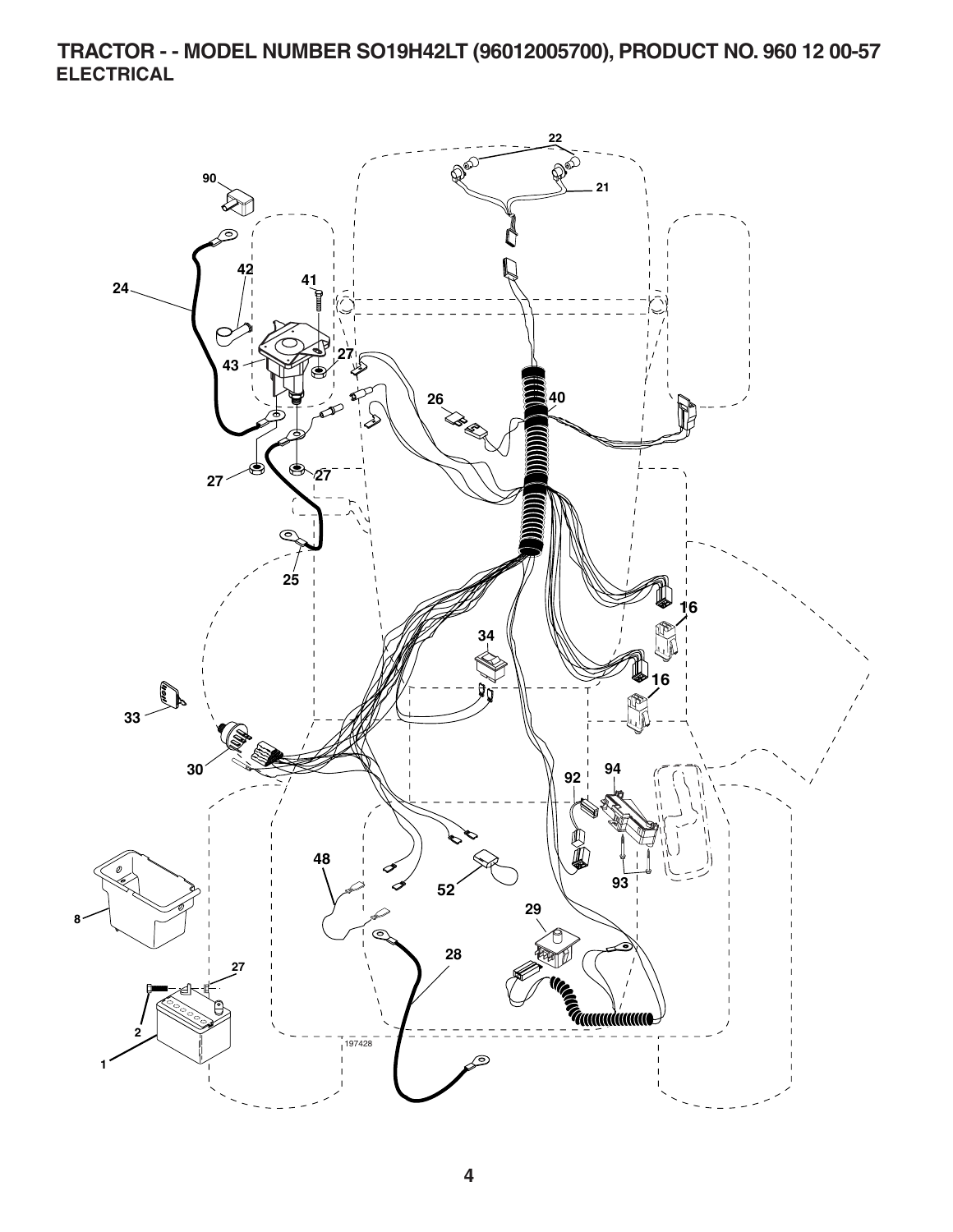**TRACTOR - - MODEL NUMBER SO19H42LT (96012005700), PRODUCT NO. 960 12 00-57 ELECTRICAL** 

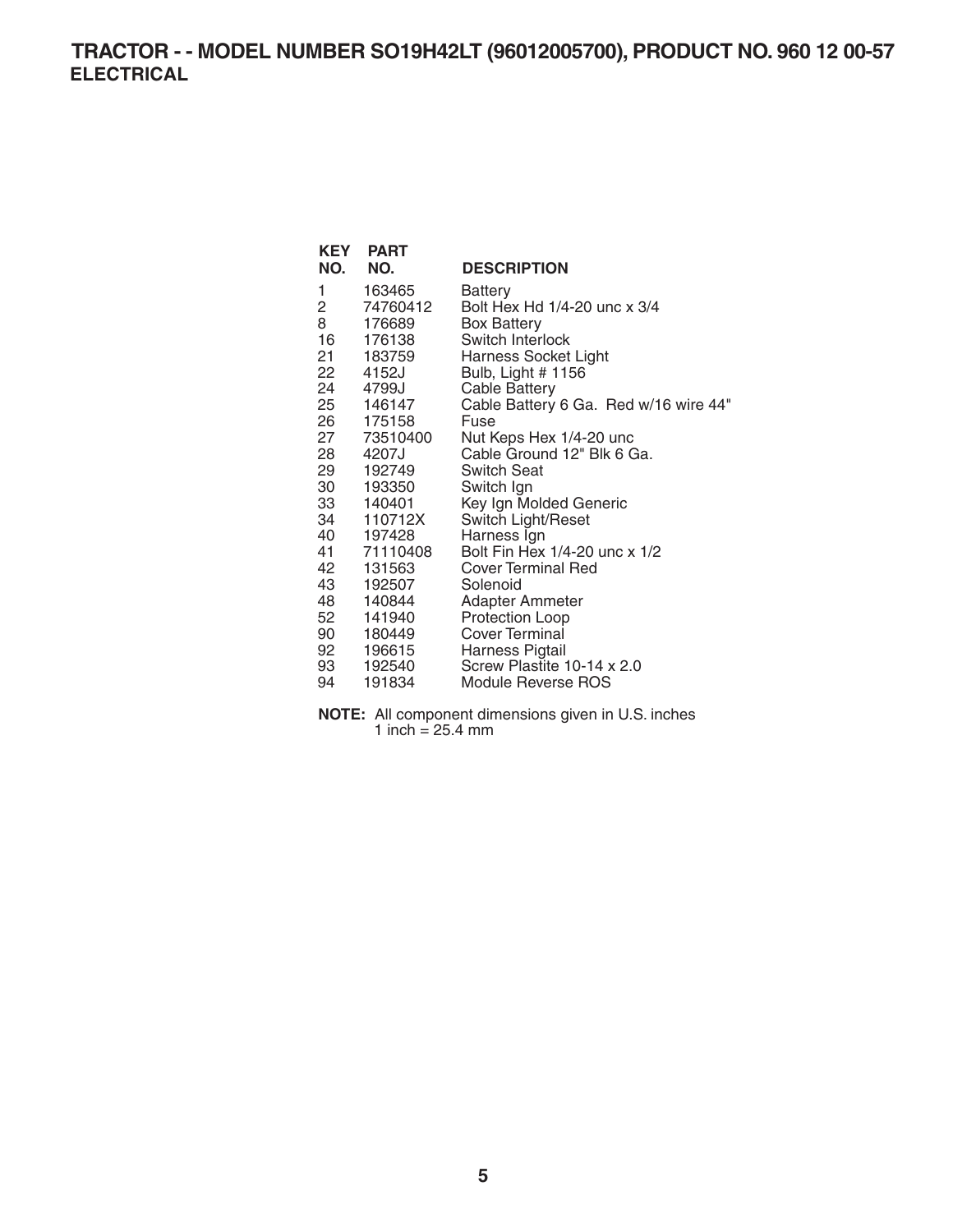## **TRACTOR - - MODEL NUMBER SO19H42LT (96012005700), PRODUCT NO. 960 12 00-57 ELECTRICAL**

| KEY<br>NO.     | <b>PART</b><br>NO. | <b>DESCRIPTION</b>                    |
|----------------|--------------------|---------------------------------------|
| 1              | 163465             | Battery                               |
| $\overline{c}$ | 74760412           | Bolt Hex Hd 1/4-20 unc x 3/4          |
| 8              | 176689             | <b>Box Battery</b>                    |
|                | 16 176138          | Switch Interlock                      |
|                | 21 183759          | Harness Socket Light                  |
| 22             | 4152J              | Bulb, Light # 1156                    |
|                | 24 4799J           | <b>Cable Battery</b>                  |
|                | 25 146147          | Cable Battery 6 Ga. Red w/16 wire 44" |
| 26             | 175158             | Fuse                                  |
| 27             | 73510400           | Nut Keps Hex 1/4-20 unc               |
|                | 28 4207J           | Cable Ground 12" Blk 6 Ga.            |
| 29             | 192749             | <b>Switch Seat</b>                    |
| 30             | 193350             | Switch Ign                            |
|                | 33 140401          | Key Ign Molded Generic                |
|                | 34 110712X         | Switch Light/Reset                    |
|                | 40 197428          | Harness Ign                           |
|                | 41 71110408        | Bolt Fin Hex 1/4-20 unc x 1/2         |
| 42             | 131563             | <b>Cover Terminal Red</b>             |
| 43             | 192507             | Solenoid                              |
| 48             | 140844             | <b>Adapter Ammeter</b>                |
|                | 52 141940          | <b>Protection Loop</b>                |
|                | 90 180449          | Cover Terminal                        |
|                | 92 196615          | Harness Pigtail                       |
|                | 93 192540          | Screw Plastite 10-14 x 2.0            |
| 94             | 191834             | Module Reverse ROS                    |

**NOTE:** All component dimensions given in U.S. inches 1 inch  $= 25.4$  mm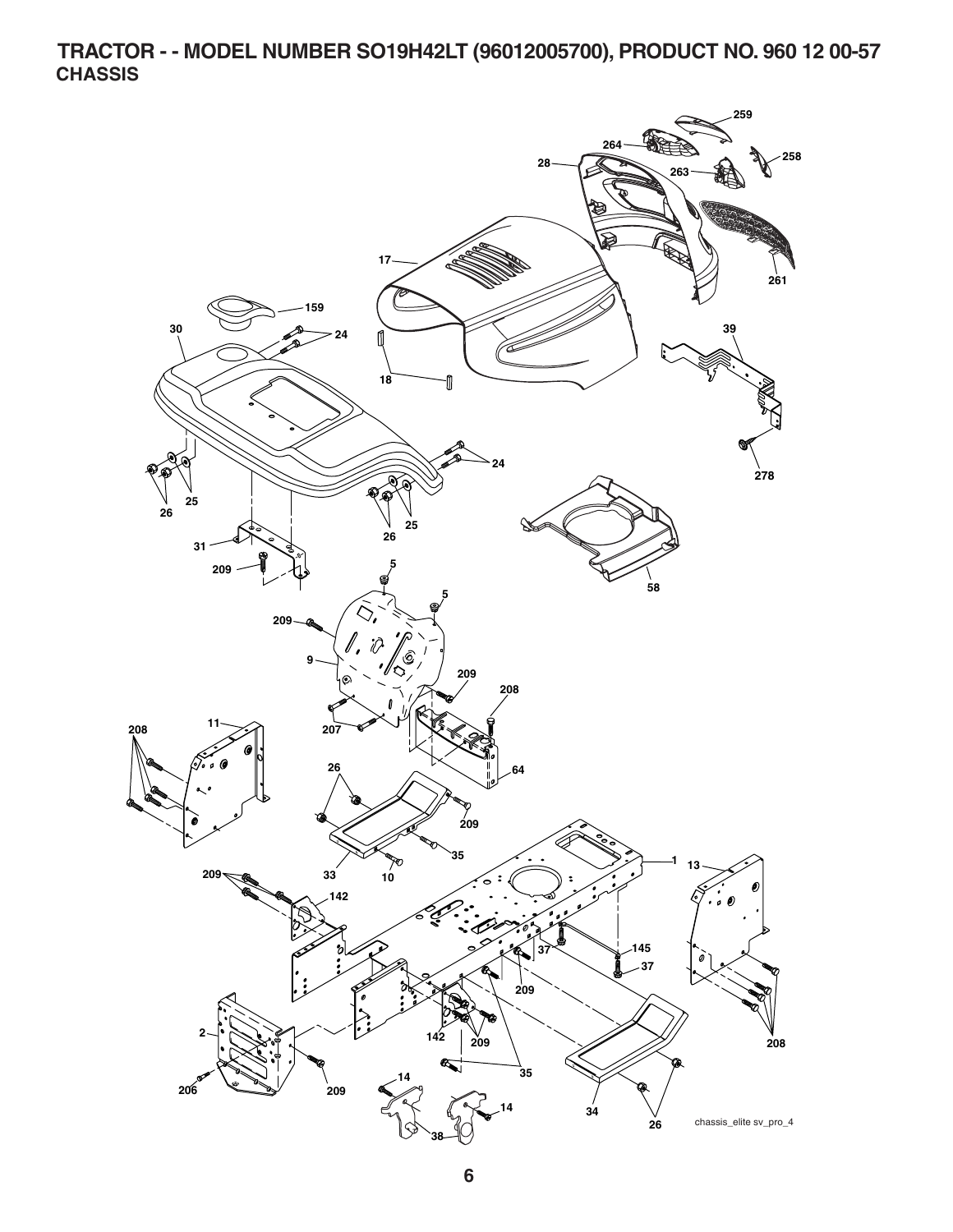**TRACTOR - - MODEL NUMBER SO19H42LT (96012005700), PRODUCT NO. 960 12 00-57 CHASSIS** 

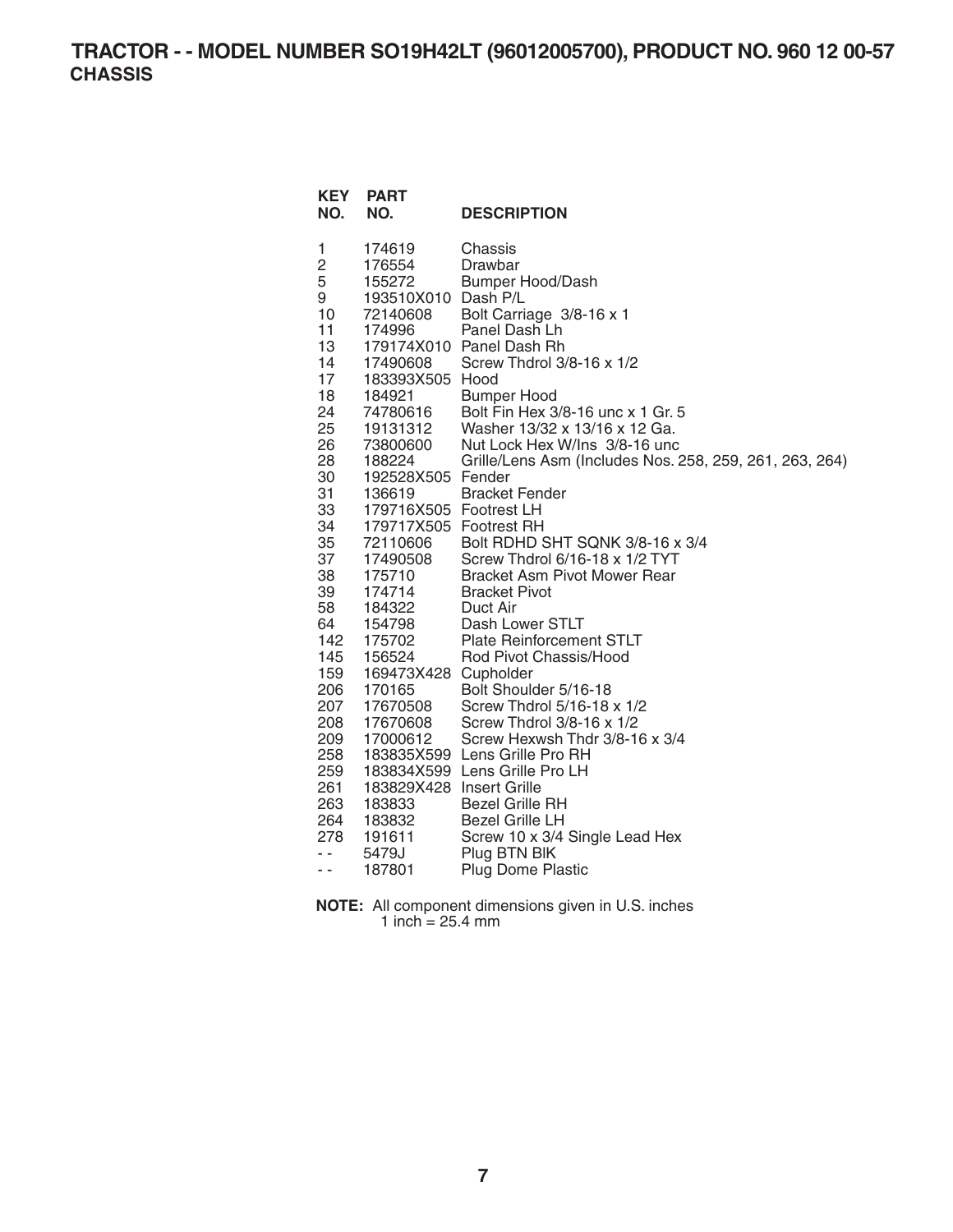**TRACTOR - - MODEL NUMBER SO19H42LT (96012005700), PRODUCT NO. 960 12 00-57 CHASSIS** 

| <b>KEY</b><br>NO. | <b>PART</b><br>NO.       | <b>DESCRIPTION</b>                                      |
|-------------------|--------------------------|---------------------------------------------------------|
| 1                 | 174619                   | Chassis                                                 |
| 2                 | 176554                   | Drawbar                                                 |
| 5                 | 155272                   | <b>Bumper Hood/Dash</b>                                 |
| 9                 | 193510X010 Dash P/L      |                                                         |
| 10                | 72140608                 | Bolt Carriage 3/8-16 x 1                                |
| 11                | 174996                   | Panel Dash Lh                                           |
| 13                |                          | 179174X010 Panel Dash Rh                                |
| 14                | 17490608                 | Screw Thdrol 3/8-16 x 1/2                               |
| 17                | 183393X505 Hood          |                                                         |
| 18                | 184921                   | <b>Bumper Hood</b>                                      |
| 24                | 74780616                 | Bolt Fin Hex 3/8-16 unc x 1 Gr. 5                       |
| 25                | 19131312                 | Washer 13/32 x 13/16 x 12 Ga.                           |
| 26                | 73800600                 | Nut Lock Hex W/Ins 3/8-16 unc                           |
| 28                | 188224                   | Grille/Lens Asm (Includes Nos. 258, 259, 261, 263, 264) |
| 30                | 192528X505 Fender        |                                                         |
| 31                | 136619                   | <b>Bracket Fender</b>                                   |
| 33                | 179716X505 Footrest LH   |                                                         |
| 34                | 179717X505 Footrest RH   |                                                         |
| 35                | 72110606                 | Bolt RDHD SHT SQNK 3/8-16 x 3/4                         |
| 37                | 17490508                 | Screw Thdrol 6/16-18 x 1/2 TYT                          |
| 38                | 175710                   | <b>Bracket Asm Pivot Mower Rear</b>                     |
| 39                | 174714                   | <b>Bracket Pivot</b>                                    |
| 58                | 184322                   | Duct Air                                                |
| 64                | 154798                   | Dash Lower STLT                                         |
| 142               | 175702                   | <b>Plate Reinforcement STLT</b>                         |
| 145               | 156524                   | Rod Pivot Chassis/Hood                                  |
| 159               | 169473X428 Cupholder     |                                                         |
| 206               | 170165                   | Bolt Shoulder 5/16-18                                   |
| 207               | 17670508                 | Screw Thdrol 5/16-18 x 1/2                              |
| 208               | 17670608                 | Screw Thdrol 3/8-16 x 1/2                               |
| 209               | 17000612                 | Screw Hexwsh Thdr 3/8-16 x 3/4                          |
| 258               |                          | 183835X599 Lens Grille Pro RH                           |
| 259               |                          | 183834X599 Lens Grille Pro LH                           |
| 261               | 183829X428 Insert Grille |                                                         |
| 263               | 183833                   | <b>Bezel Grille RH</b>                                  |
| 264<br>278        | 183832                   | <b>Bezel Grille LH</b>                                  |
| $ -$              | 191611                   | Screw 10 x 3/4 Single Lead Hex                          |
| ۰.                | 5479J                    | Plug BTN BIK                                            |
|                   | 187801                   | <b>Plug Dome Plastic</b>                                |

| <b>NOTE:</b> All component dimensions given in U.S. inches |
|------------------------------------------------------------|
| 1 inch = $25.4 \text{ mm}$                                 |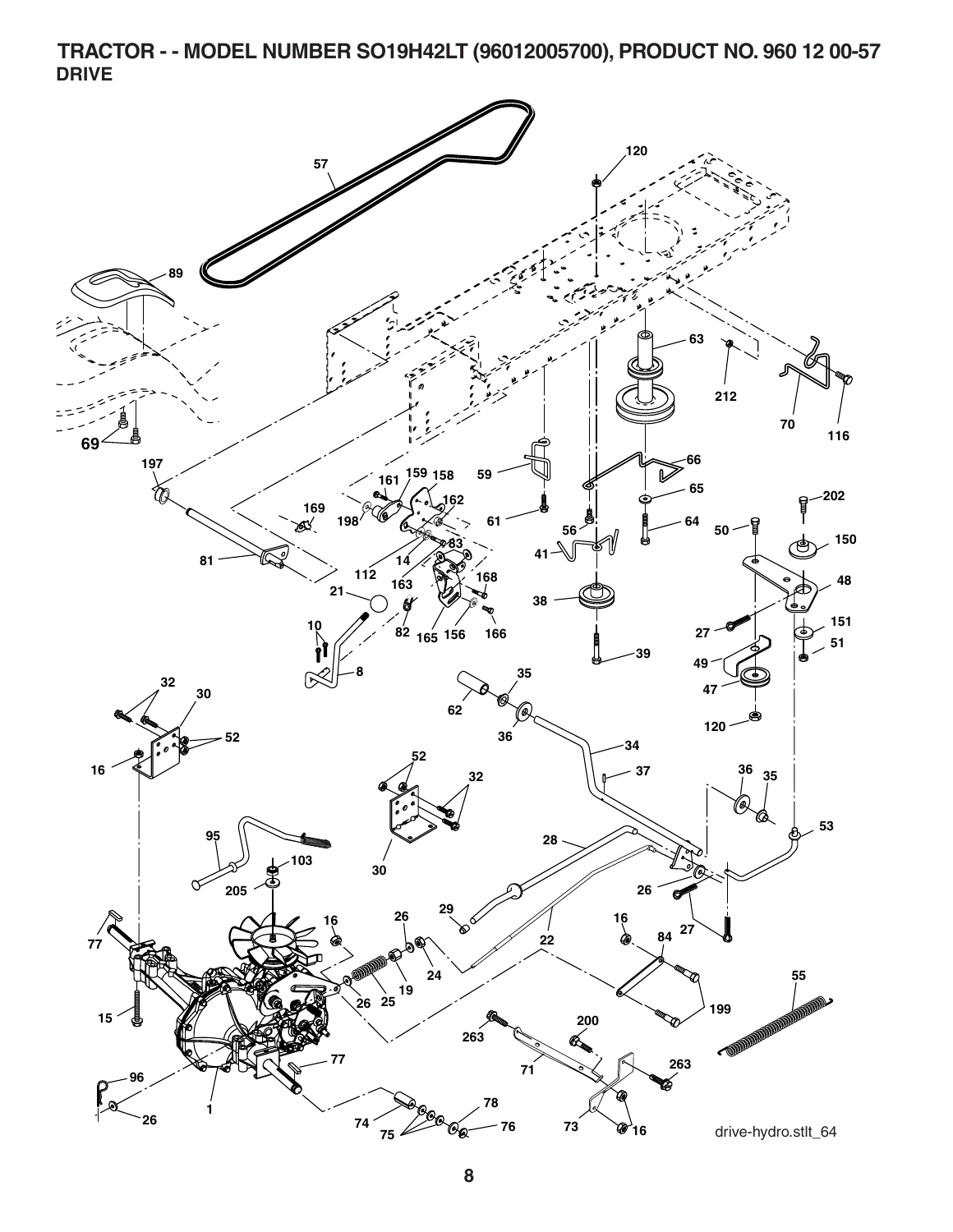**TRACTOR - - MODEL NUMBER SO19H42LT (96012005700), PRODUCT NO. 960 12 00-57 DRIVE** 

![](_page_7_Figure_1.jpeg)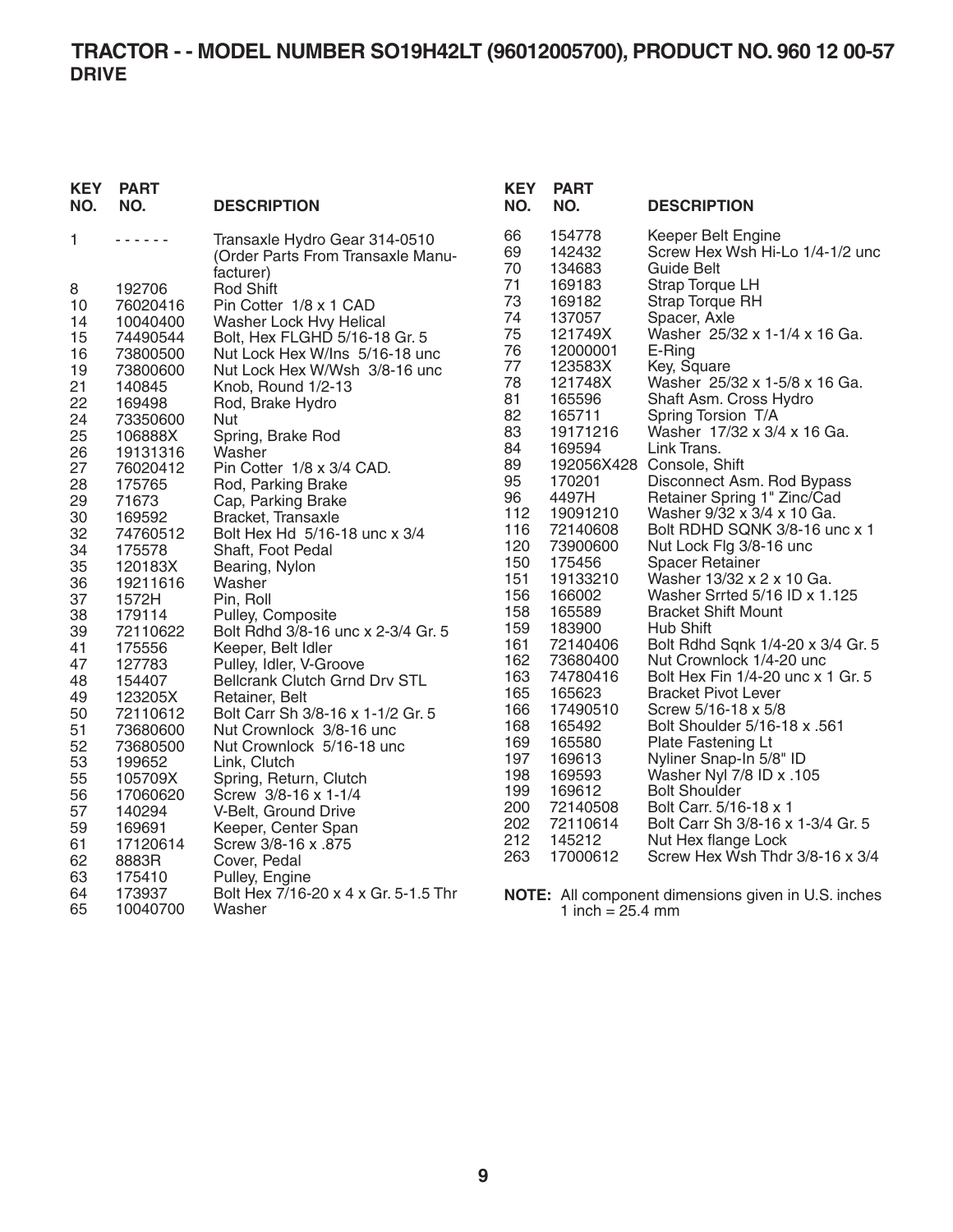#### **TRACTOR - - MODEL NUMBER SO19H42LT (96012005700), PRODUCT NO. 960 12 00-57 DRIVE**

| <b>KEY</b><br>NO. | <b>PART</b><br>NO.   | <b>DESCRIPTION</b>                                                              |
|-------------------|----------------------|---------------------------------------------------------------------------------|
| 1                 |                      | Transaxle Hydro Gear 314-0510<br>(Order Parts From Transaxle Manu-<br>facturer) |
| 8                 | 192706               | <b>Rod Shift</b>                                                                |
| 10                | 76020416             | Pin Cotter 1/8 x 1 CAD                                                          |
| 14                | 10040400             | Washer Lock Hvy Helical                                                         |
| 15                | 74490544             | Bolt, Hex FLGHD 5/16-18 Gr. 5                                                   |
| 16                | 73800500             | Nut Lock Hex W/Ins 5/16-18 unc                                                  |
| 19<br>21          | 73800600<br>140845   | Nut Lock Hex W/Wsh 3/8-16 unc<br>Knob, Round 1/2-13                             |
| 22                | 169498               | Rod, Brake Hydro                                                                |
| 24                | 73350600             | Nut                                                                             |
| 25                | 106888X              | Spring, Brake Rod                                                               |
| 26                | 19131316             | Washer                                                                          |
| 27                | 76020412             | Pin Cotter 1/8 x 3/4 CAD.                                                       |
| 28                | 175765               | Rod, Parking Brake                                                              |
| 29<br>30          | 71673<br>169592      | Cap, Parking Brake<br>Bracket, Transaxle                                        |
| 32                | 74760512             | Bolt Hex Hd 5/16-18 unc x 3/4                                                   |
| 34                | 175578               | Shaft, Foot Pedal                                                               |
| 35                | 120183X              | Bearing, Nylon                                                                  |
| 36                | 19211616             | Washer                                                                          |
| 37                | 1572H                | Pin, Roll                                                                       |
| 38<br>39          | 179114<br>72110622   | Pulley, Composite<br>Bolt Rdhd 3/8-16 unc x 2-3/4 Gr. 5                         |
| 41                | 175556               | Keeper, Belt Idler                                                              |
| 47                | 127783               | Pulley, Idler, V-Groove                                                         |
| 48                | 154407               | <b>Bellcrank Clutch Grnd Drv STL</b>                                            |
| 49                | 123205X              | Retainer, Belt                                                                  |
| 50                | 72110612             | Bolt Carr Sh 3/8-16 x 1-1/2 Gr. 5                                               |
| 51<br>52          | 73680600<br>73680500 | Nut Crownlock 3/8-16 unc<br>Nut Crownlock 5/16-18 unc                           |
| 53                | 199652               | Link, Clutch                                                                    |
| 55                | 105709X              | Spring, Return, Clutch                                                          |
| 56                | 17060620             | Screw 3/8-16 x 1-1/4                                                            |
| 57                | 140294               | V-Belt, Ground Drive                                                            |
| 59                | 169691               | Keeper, Center Span                                                             |
| 61                | 17120614             | Screw 3/8-16 x .875                                                             |
| 62<br>63          | 8883R<br>175410      | Cover, Pedal                                                                    |
| 64                | 173937               | Pulley, Engine<br>Bolt Hex 7/16-20 x 4 x Gr. 5-1.5 Thr                          |
| 65                | 10040700             | Washer                                                                          |

| KEY<br>NO. | <b>PART</b><br>NO. | <b>DESCRIPTION</b>                |
|------------|--------------------|-----------------------------------|
| 66         | 154778             | Keeper Belt Engine                |
| 69         | 142432             | Screw Hex Wsh Hi-Lo 1/4-1/2 unc   |
| 70         | 134683             | <b>Guide Belt</b>                 |
| 71         | 169183             | <b>Strap Torque LH</b>            |
| 73         | 169182             | Strap Torque RH                   |
| 74         | 137057             | Spacer, Axle                      |
| 75         | 121749X            | Washer 25/32 x 1-1/4 x 16 Ga.     |
| 76         | 12000001           | E-Ring                            |
| 77         | 123583X            | Key, Square                       |
| 78         | 121748X            | Washer 25/32 x 1-5/8 x 16 Ga.     |
| 81         | 165596             | Shaft Asm. Cross Hydro            |
| 82         | 165711             | Spring Torsion T/A                |
| 83         | 19171216           | Washer 17/32 x 3/4 x 16 Ga.       |
| 84         | 169594             | Link Trans.                       |
| 89         | 192056X428         | Console, Shift                    |
| 95         | 170201             | Disconnect Asm. Rod Bypass        |
| 96         | 4497H              | Retainer Spring 1" Zinc/Cad       |
| 112        | 19091210           | Washer 9/32 x 3/4 x 10 Ga.        |
| 116        | 72140608           | Bolt RDHD SQNK 3/8-16 unc x 1     |
| 120        | 73900600           | Nut Lock Flg 3/8-16 unc           |
| 150        | 175456             | <b>Spacer Retainer</b>            |
| 151        | 19133210           | Washer 13/32 x 2 x 10 Ga.         |
| 156        | 166002             | Washer Srrted 5/16 ID x 1.125     |
| 158        | 165589             | <b>Bracket Shift Mount</b>        |
| 159        | 183900             | <b>Hub Shift</b>                  |
| 161        | 72140406           | Bolt Rdhd Sqnk 1/4-20 x 3/4 Gr. 5 |
| 162        | 73680400           | Nut Crownlock 1/4-20 unc          |
| 163        | 74780416           | Bolt Hex Fin 1/4-20 unc x 1 Gr. 5 |
| 165        | 165623             | <b>Bracket Pivot Lever</b>        |
| 166        | 17490510           | Screw 5/16-18 x 5/8               |
| 168        | 165492             | Bolt Shoulder 5/16-18 x .561      |
| 169        | 165580             | Plate Fastening Lt                |
| 197        | 169613             | Nyliner Snap-In 5/8" ID           |
| 198        | 169593             | Washer Nyl 7/8 ID x .105          |
| 199        | 169612             | <b>Bolt Shoulder</b>              |
| 200        | 72140508           | Bolt Carr. 5/16-18 x 1            |
| 202        | 72110614           | Bolt Carr Sh 3/8-16 x 1-3/4 Gr. 5 |
| 212        | 145212             | Nut Hex flange Lock               |
| 263        | 17000612           | Screw Hex Wsh Thdr 3/8-16 x 3/4   |

**NOTE:** All component dimensions given in U.S. inches 1 inch = 25.4 mm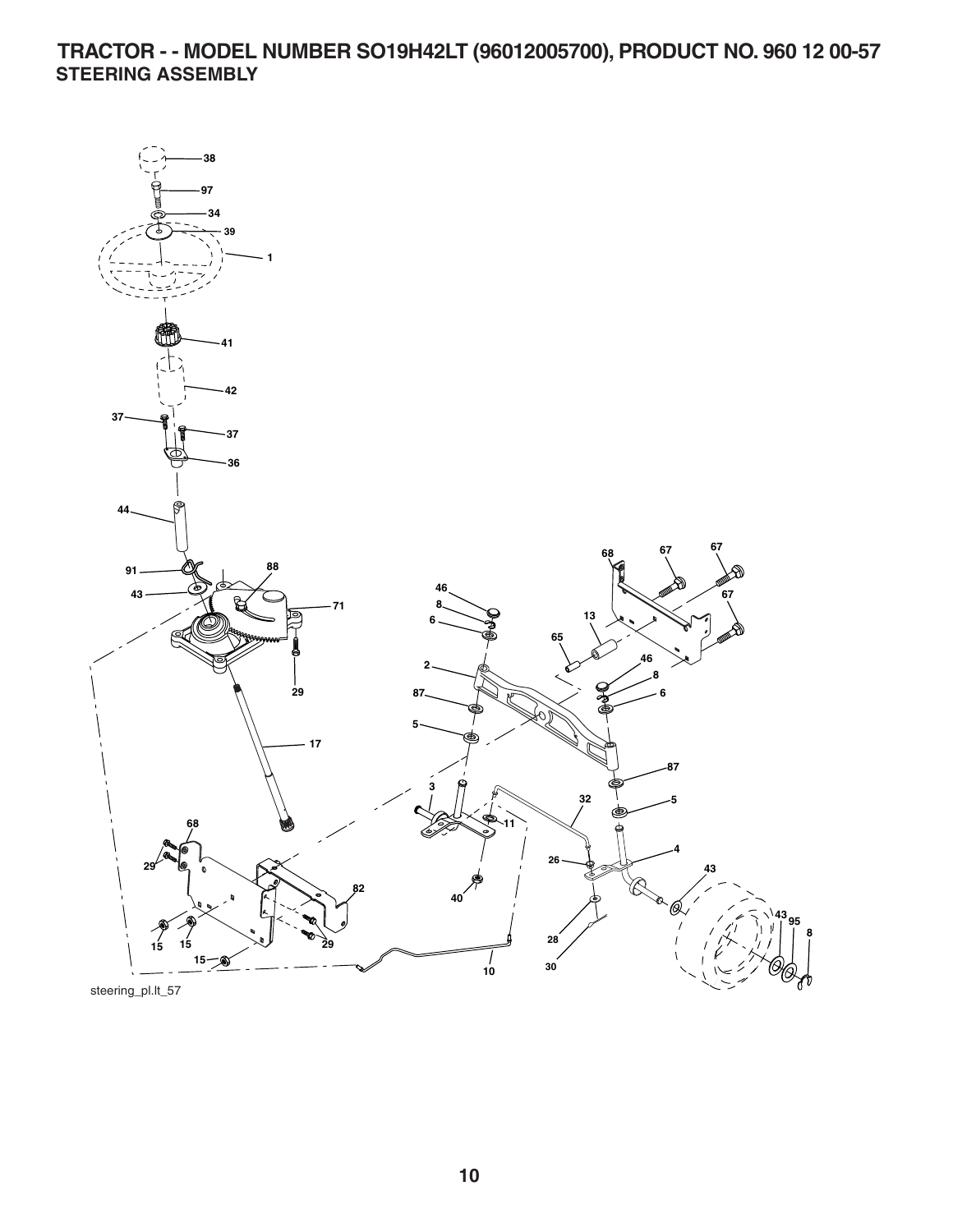**TRACTOR - - MODEL NUMBER SO19H42LT (96012005700), PRODUCT NO. 960 12 00-57 STEERING ASSEMBLY** 

![](_page_9_Figure_1.jpeg)

steering\_pl.lt\_57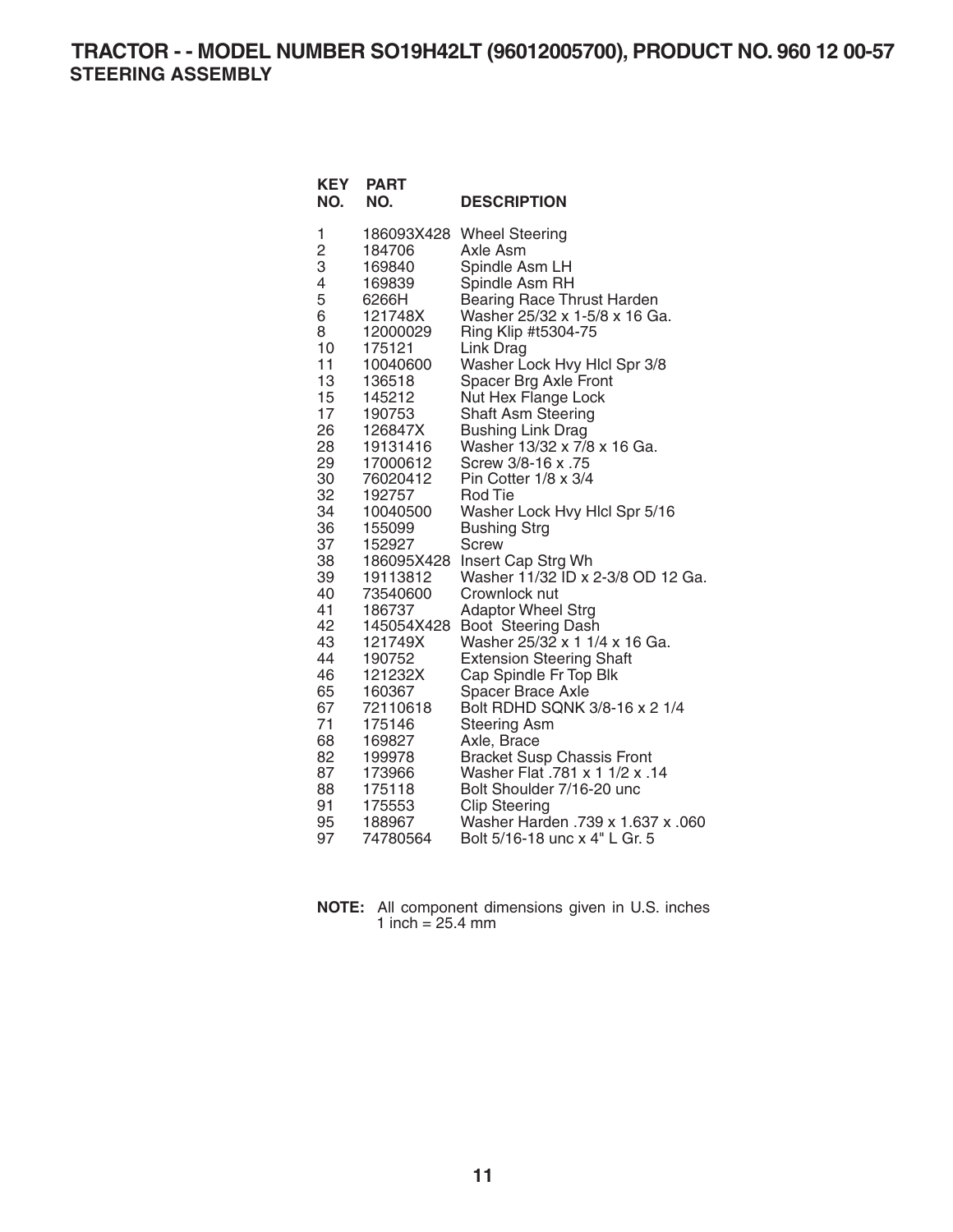**TRACTOR - - MODEL NUMBER SO19H42LT (96012005700), PRODUCT NO. 960 12 00-57 STEERING ASSEMBLY** 

| <b>KEY</b><br>NO. | <b>PART</b><br>NO. | <b>DESCRIPTION</b>                                 |
|-------------------|--------------------|----------------------------------------------------|
| 1                 |                    | 186093X428 Wheel Steering                          |
| $\overline{c}$    | 184706             | Axle Asm                                           |
| 3                 | 169840             | Spindle Asm LH                                     |
| 4                 | 169839             | Spindle Asm RH                                     |
| 5                 | 6266H              | Bearing Race Thrust Harden                         |
| 6                 | 121748X            | Washer 25/32 x 1-5/8 x 16 Ga.                      |
| 8                 | 12000029           | Ring Klip #t5304-75                                |
| 10                | 175121             | Link Drag                                          |
| 11                | 10040600           | Washer Lock Hvy Hlcl Spr 3/8                       |
| 13                | 136518             | Spacer Brg Axle Front                              |
| 15<br>17          | 145212<br>190753   | Nut Hex Flange Lock<br>Shaft Asm Steering          |
| 26                | 126847X            | <b>Bushing Link Drag</b>                           |
| 28                | 19131416           | Washer 13/32 x 7/8 x 16 Ga.                        |
| 29                | 17000612           | Screw 3/8-16 x .75                                 |
| 30                | 76020412           | Pin Cotter 1/8 x 3/4                               |
| 32                | 192757             | Rod Tie                                            |
| 34                | 10040500           | Washer Lock Hvy Hlcl Spr 5/16                      |
| 36                | 155099             | <b>Bushing Strg</b>                                |
| 37                | 152927             | <b>Screw</b>                                       |
| 38                | 186095X428         | Insert Cap Strg Wh                                 |
| 39                | 19113812           | Washer 11/32 ID x 2-3/8 OD 12 Ga.                  |
| 40                | 73540600           | Crownlock nut                                      |
| 41                | 186737             | <b>Adaptor Wheel Strg</b>                          |
| 42                | 145054X428         | Boot Steering Dash                                 |
| 43                | 121749X            | Washer 25/32 x 1 1/4 x 16 Ga.                      |
| 44                | 190752             | <b>Extension Steering Shaft</b>                    |
| 46<br>65          | 121232X            | Cap Spindle Fr Top Blk                             |
| 67                | 160367<br>72110618 | Spacer Brace Axle<br>Bolt RDHD SQNK 3/8-16 x 2 1/4 |
| 71                | 175146             | <b>Steering Asm</b>                                |
| 68                | 169827             | Axle, Brace                                        |
| 82                | 199978             | <b>Bracket Susp Chassis Front</b>                  |
| 87                | 173966             | Washer Flat .781 x 1 1/2 x .14                     |
| 88                | 175118             | Bolt Shoulder 7/16-20 unc                          |
| 91                | 175553             | <b>Clip Steering</b>                               |
| 95                | 188967             | Washer Harden .739 x 1.637 x .060                  |
| 97                | 74780564           | Bolt 5/16-18 unc x 4" L Gr. 5                      |

| NOTE: All component dimensions given in U.S. inches |
|-----------------------------------------------------|
| 1 inch = $25.4 \text{ mm}$                          |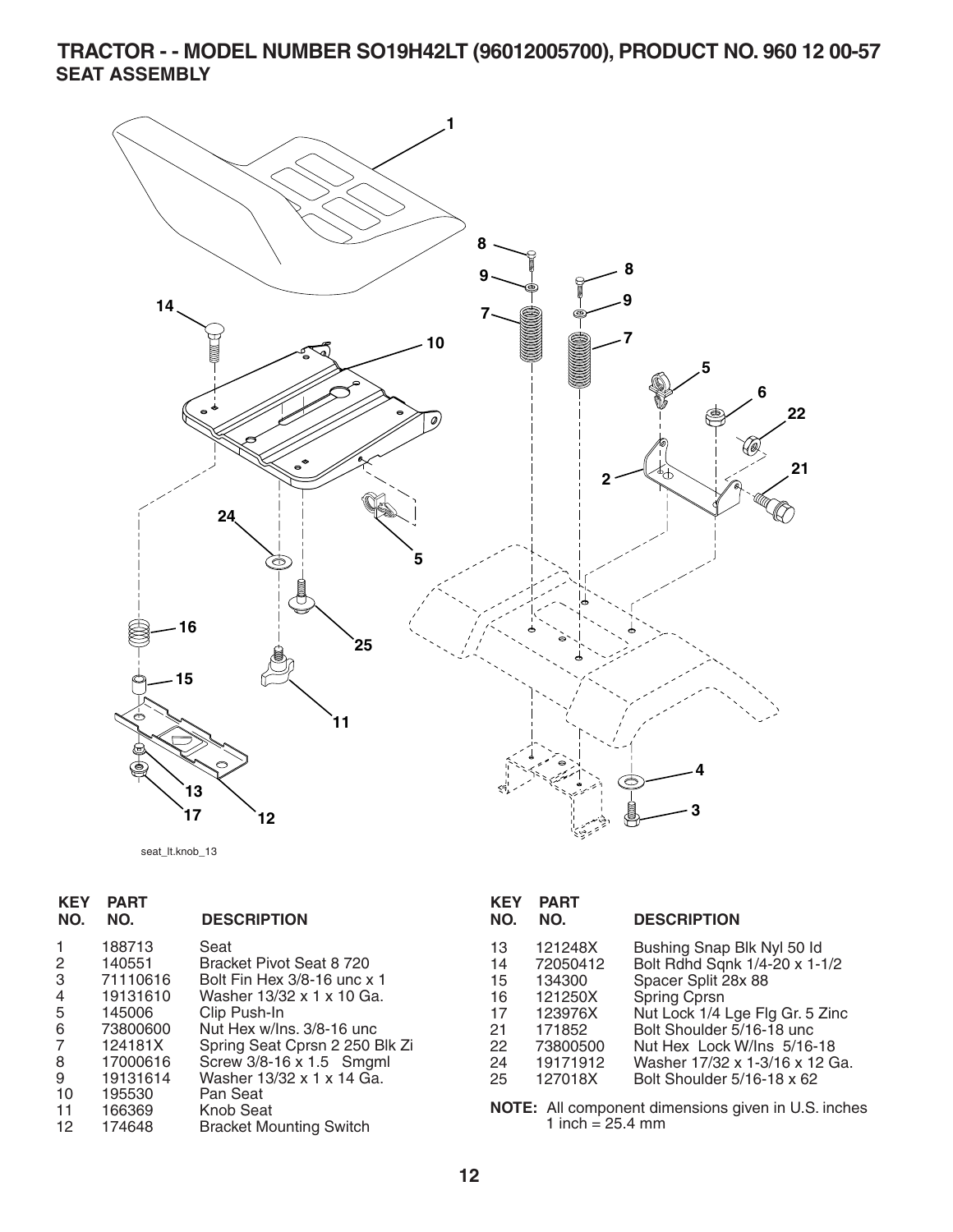**TRACTOR - - MODEL NUMBER SO19H42LT (96012005700), PRODUCT NO. 960 12 00-57 SEAT ASSEMBLY** 

![](_page_11_Figure_1.jpeg)

seat\_lt.knob\_13

| <b>KEY</b><br>NO.                                      | <b>PART</b><br>NO.                                                                                                              | <b>DESCRIPTION</b>                                                                                                                                                                                                                                                                              |
|--------------------------------------------------------|---------------------------------------------------------------------------------------------------------------------------------|-------------------------------------------------------------------------------------------------------------------------------------------------------------------------------------------------------------------------------------------------------------------------------------------------|
| 2<br>3<br>4<br>5<br>6<br>7<br>8<br>9<br>10<br>11<br>12 | 188713<br>140551<br>71110616<br>19131610<br>145006<br>73800600<br>124181X<br>17000616<br>19131614<br>195530<br>166369<br>174648 | Seat<br>Bracket Pivot Seat 8 720<br>Bolt Fin Hex 3/8-16 unc x 1<br>Washer 13/32 x 1 x 10 Ga.<br>Clip Push-In<br>Nut Hex w/Ins. 3/8-16 unc<br>Spring Seat Cprsn 2 250 Blk Zi<br>Screw 3/8-16 x 1.5 Smgml<br>Washer 13/32 x 1 x 14 Ga.<br>Pan Seat<br>Knob Seat<br><b>Bracket Mounting Switch</b> |
|                                                        |                                                                                                                                 |                                                                                                                                                                                                                                                                                                 |

| KEY<br>NO.                                         | PART<br>NO.                                                                                      | <b>DESCRIPTION</b>                                                                                                                                                                                                                                                |
|----------------------------------------------------|--------------------------------------------------------------------------------------------------|-------------------------------------------------------------------------------------------------------------------------------------------------------------------------------------------------------------------------------------------------------------------|
| 13<br>14<br>15<br>16<br>17<br>21<br>22<br>24<br>25 | 121248X<br>72050412<br>134300<br>121250X<br>123976X<br>171852<br>73800500<br>19171912<br>127018X | Bushing Snap Blk Nyl 50 ld<br>Bolt Rdhd Sqnk 1/4-20 x 1-1/2<br>Spacer Split 28x 88<br>Spring Cprsn<br>Nut Lock 1/4 Lge Flg Gr. 5 Zinc<br>Bolt Shoulder 5/16-18 unc.<br>Nut Hex Lock W/Ins 5/16-18<br>Washer 17/32 x 1-3/16 x 12 Ga.<br>Bolt Shoulder 5/16-18 x 62 |
|                                                    |                                                                                                  |                                                                                                                                                                                                                                                                   |

**NOTE:** All component dimensions given in U.S. inches 1 inch = 25.4 mm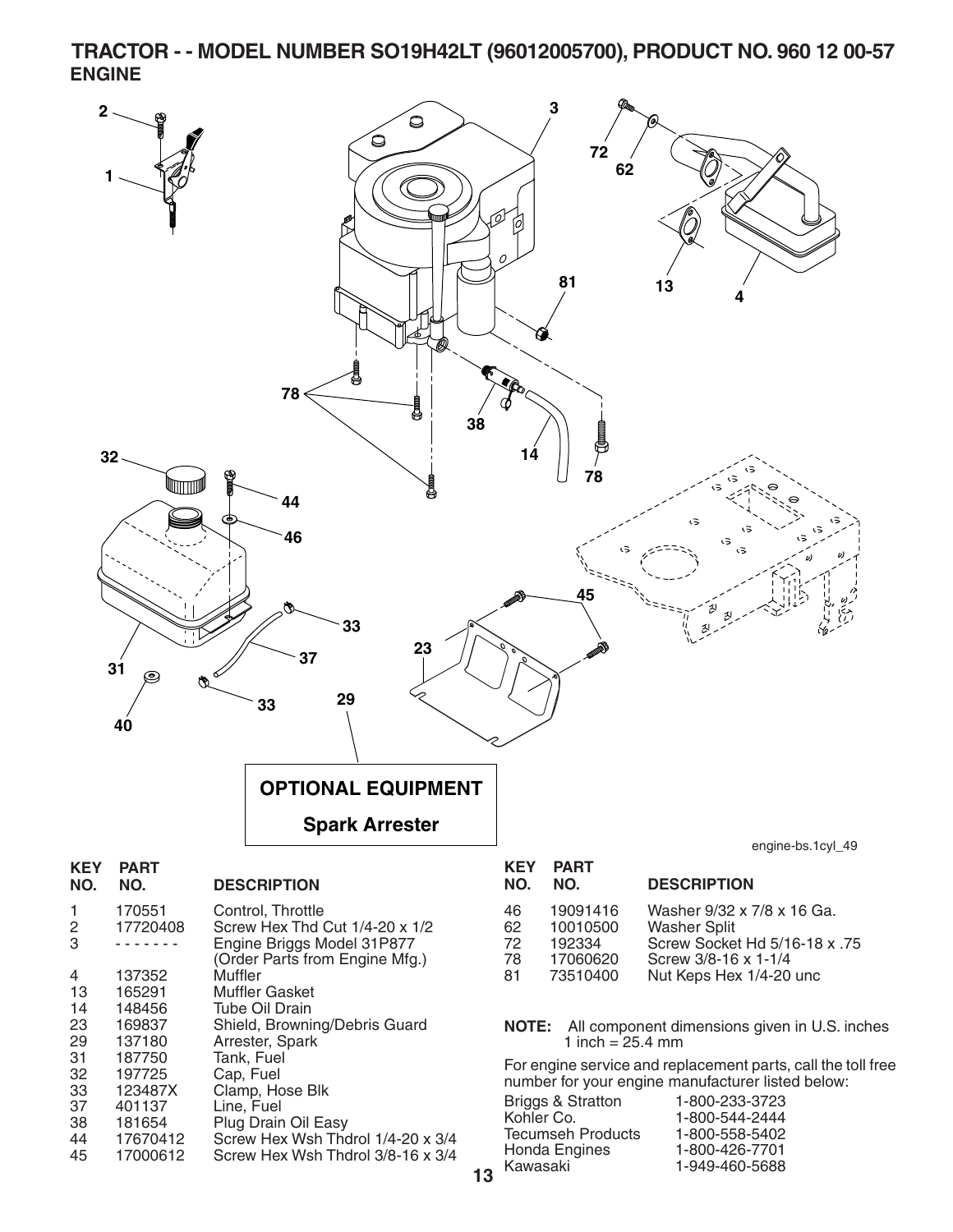**TRACTOR - - MODEL NUMBER SO19H42LT (96012005700), PRODUCT NO. 960 12 00-57 ENGINE** 

![](_page_12_Figure_1.jpeg)

44 17670412 Screw Hex Wsh Thdrol 1/4-20 x 3/4 Screw Hex Wsh Thdrol 3/8-16 x 3/4

Honda Engines

Kawasaki 1-949-460-5688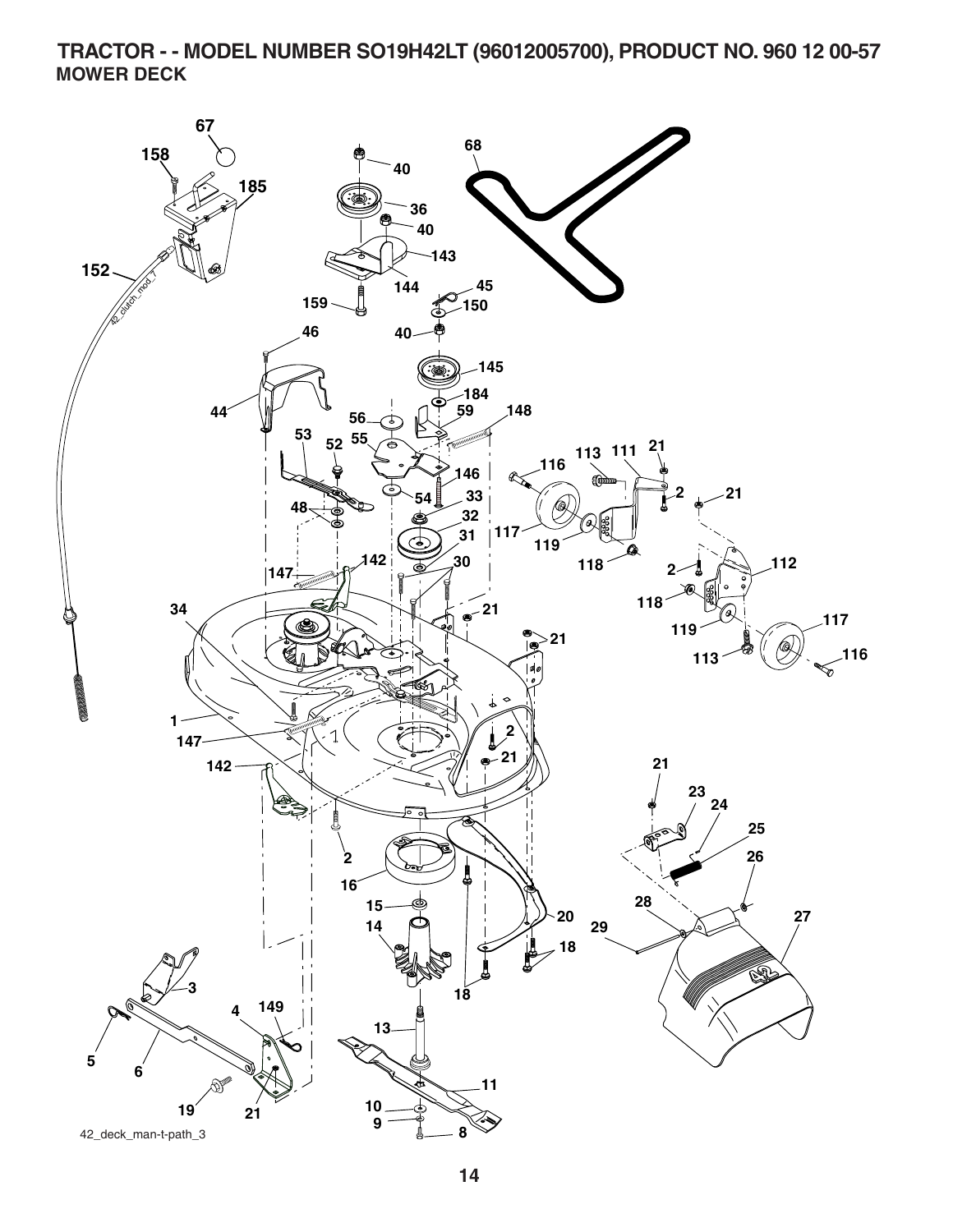**TRACTOR - - MODEL NUMBER SO19H42LT (96012005700), PRODUCT NO. 960 12 00-57 MOWER DECK** 

![](_page_13_Figure_1.jpeg)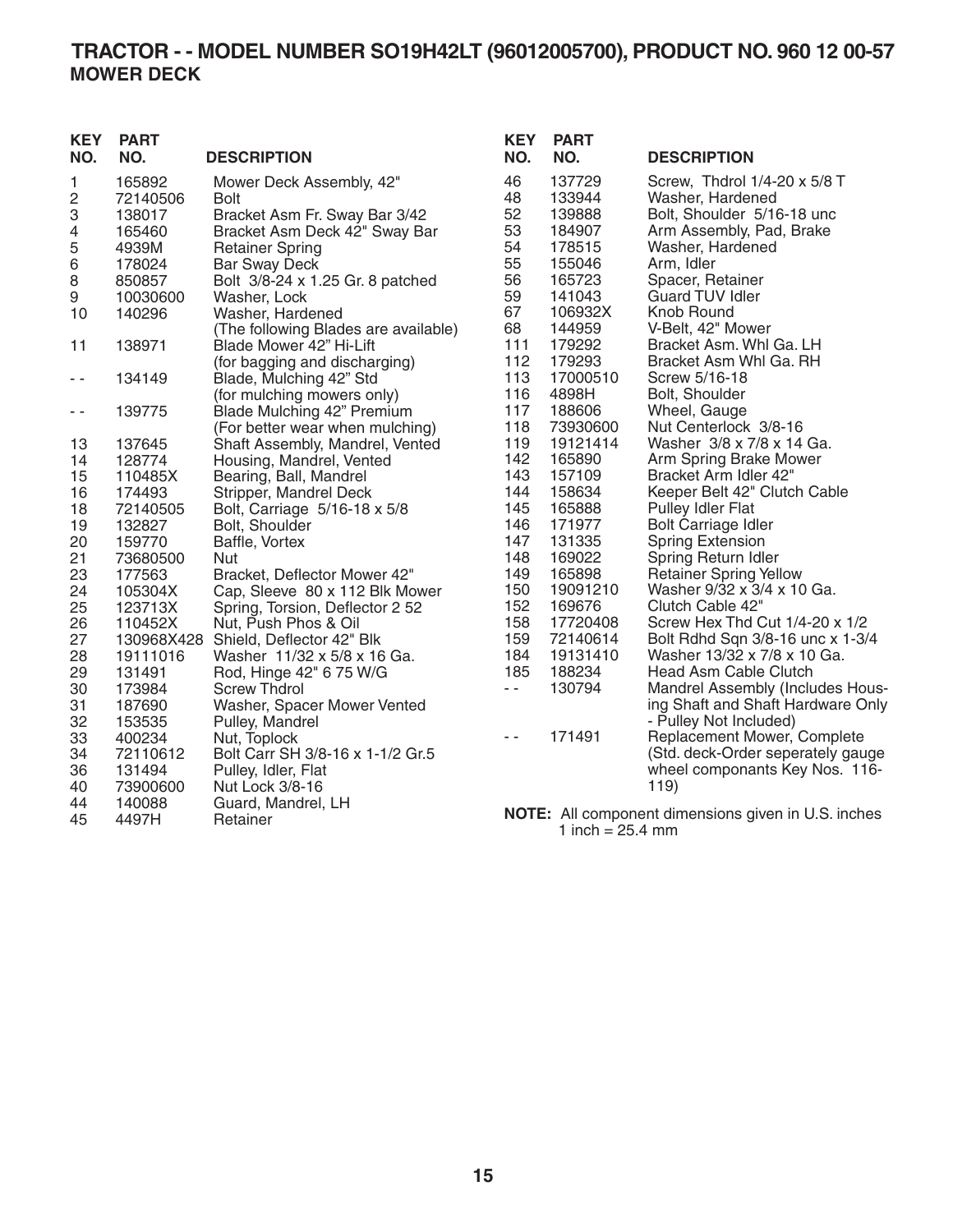## **TRACTOR - - MODEL NUMBER SO19H42LT (96012005700), PRODUCT NO. 960 12 00-57 MOWER DECK**

| <b>KEY</b><br>NO. | <b>PART</b><br>NO. | <b>DESCRIPTION</b>                   | <b>KEY</b><br>NO. | <b>PART</b><br>NO. | <b>DESCRIPTION</b>                                         |
|-------------------|--------------------|--------------------------------------|-------------------|--------------------|------------------------------------------------------------|
| 1                 | 165892             | Mower Deck Assembly, 42"             | 46                | 137729             | Screw, Thdrol 1/4-20 x 5/8 T                               |
| $\overline{c}$    | 72140506           | <b>Bolt</b>                          | 48                | 133944             | Washer, Hardened                                           |
| 3                 | 138017             | Bracket Asm Fr. Sway Bar 3/42        | 52                | 139888             | Bolt, Shoulder 5/16-18 unc                                 |
| 4                 | 165460             | Bracket Asm Deck 42" Sway Bar        | 53                | 184907             | Arm Assembly, Pad, Brake                                   |
| 5                 | 4939M              | <b>Retainer Spring</b>               | 54                | 178515             | Washer, Hardened                                           |
| 6                 | 178024             | <b>Bar Sway Deck</b>                 | 55                | 155046             | Arm, Idler                                                 |
| 8                 | 850857             | Bolt 3/8-24 x 1.25 Gr. 8 patched     | 56                | 165723             | Spacer, Retainer                                           |
| 9                 | 10030600           | Washer, Lock                         | 59                | 141043             | <b>Guard TUV Idler</b>                                     |
| 10                | 140296             | Washer, Hardened                     | 67                | 106932X            | Knob Round                                                 |
|                   |                    | (The following Blades are available) | 68                | 144959             | V-Belt, 42" Mower                                          |
| 11                | 138971             | Blade Mower 42" Hi-Lift              | 111               | 179292             | Bracket Asm. Whi Ga. LH                                    |
|                   |                    | (for bagging and discharging)        | 112               | 179293             | Bracket Asm Whl Ga. RH                                     |
| $ -$              | 134149             | Blade, Mulching 42" Std              | 113               | 17000510           | Screw 5/16-18                                              |
|                   |                    | (for mulching mowers only)           | 116               | 4898H              | Bolt, Shoulder                                             |
| $ -$              | 139775             | Blade Mulching 42" Premium           | 117               | 188606             | Wheel, Gauge                                               |
|                   |                    | (For better wear when mulching)      | 118               | 73930600           | Nut Centerlock 3/8-16                                      |
| 13                | 137645             | Shaft Assembly, Mandrel, Vented      | 119               | 19121414           | Washer 3/8 x 7/8 x 14 Ga.                                  |
| 14                | 128774             | Housing, Mandrel, Vented             | 142               | 165890             | Arm Spring Brake Mower                                     |
| 15                | 110485X            | Bearing, Ball, Mandrel               | 143               | 157109             | Bracket Arm Idler 42"                                      |
| 16                | 174493             | Stripper, Mandrel Deck               | 144               | 158634             | Keeper Belt 42" Clutch Cable                               |
| 18                | 72140505           | Bolt, Carriage 5/16-18 x 5/8         | 145               | 165888             | <b>Pulley Idler Flat</b>                                   |
| 19                | 132827             | Bolt, Shoulder                       | 146               | 171977             | Bolt Carriage Idler                                        |
| 20                | 159770             | Baffle, Vortex                       | 147               | 131335             | <b>Spring Extension</b>                                    |
| 21                | 73680500           | Nut                                  | 148               | 169022             | Spring Return Idler                                        |
| 23                | 177563             | Bracket, Deflector Mower 42"         | 149               | 165898             | <b>Retainer Spring Yellow</b>                              |
| 24                | 105304X            | Cap, Sleeve 80 x 112 Blk Mower       | 150               | 19091210           | Washer 9/32 x 3/4 x 10 Ga.                                 |
| 25                | 123713X            | Spring, Torsion, Deflector 2 52      | 152               | 169676             | Clutch Cable 42"                                           |
| 26                | 110452X            | Nut, Push Phos & Oil                 | 158               | 17720408           | Screw Hex Thd Cut 1/4-20 x 1/2                             |
| 27                |                    | 130968X428 Shield, Deflector 42" Blk | 159               | 72140614           | Bolt Rdhd Sqn 3/8-16 unc x 1-3/4                           |
| 28                | 19111016           | Washer 11/32 x 5/8 x 16 Ga.          | 184               | 19131410           | Washer 13/32 x 7/8 x 10 Ga.                                |
| 29                | 131491             | Rod, Hinge 42" 6 75 W/G              | 185               | 188234             | Head Asm Cable Clutch                                      |
| 30                | 173984             | <b>Screw Thdrol</b>                  | $\sim$ $-$        | 130794             | Mandrel Assembly (Includes Hous-                           |
| 31                | 187690             | Washer, Spacer Mower Vented          |                   |                    | ing Shaft and Shaft Hardware Only                          |
| 32                | 153535             | Pulley, Mandrel                      |                   |                    | - Pulley Not Included)                                     |
| 33                | 400234             | Nut, Toplock                         | $\sim$ $\sim$     | 171491             | Replacement Mower, Complete                                |
| 34                | 72110612           | Bolt Carr SH 3/8-16 x 1-1/2 Gr.5     |                   |                    | (Std. deck-Order seperately gauge                          |
| 36                | 131494             | Pulley, Idler, Flat                  |                   |                    | wheel componants Key Nos. 116-                             |
| 40                | 73900600           | Nut Lock 3/8-16                      |                   |                    | 119)                                                       |
| 44                | 140088             | Guard, Mandrel, LH                   |                   |                    |                                                            |
| 45                | 4497H              | Retainer                             |                   |                    | <b>NOTE:</b> All component dimensions given in U.S. inches |

1 inch =  $25.4 \, \text{mm}$